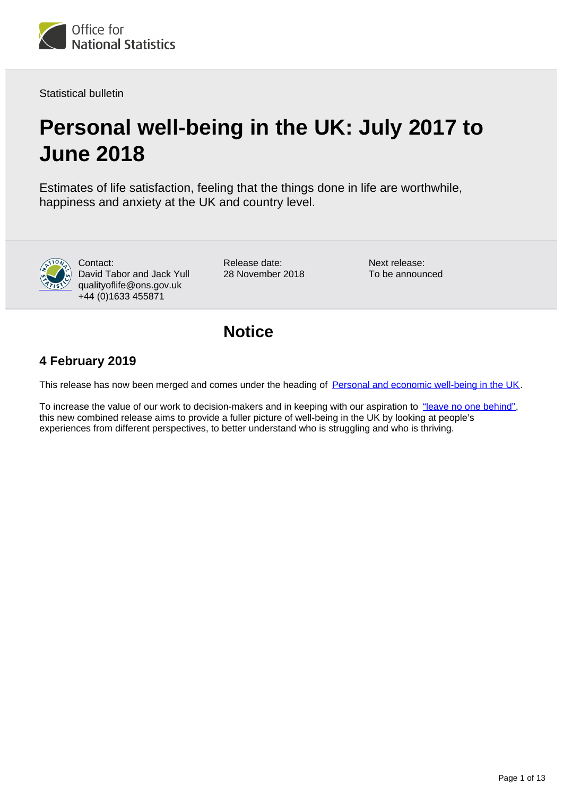

Statistical bulletin

# **Personal well-being in the UK: July 2017 to June 2018**

Estimates of life satisfaction, feeling that the things done in life are worthwhile, happiness and anxiety at the UK and country level.



Contact: David Tabor and Jack Yull qualityoflife@ons.gov.uk +44 (0)1633 455871

Release date: 28 November 2018 Next release: To be announced

## **Notice**

### **4 February 2019**

This release has now been merged and comes under the heading of [Personal and economic well-being in the UK](https://www.ons.gov.uk/peoplepopulationandcommunity/wellbeing/bulletins/personalandeconomicwellbeingintheuk/september2018).

To increase the value of our work to decision-makers and in keeping with our aspiration to ["leave no one behind",](https://www.gov.uk/government/publications/leaving-no-one-behind-our-promise/leaving-no-one-behind-our-promise) this new combined release aims to provide a fuller picture of well-being in the UK by looking at people's experiences from different perspectives, to better understand who is struggling and who is thriving.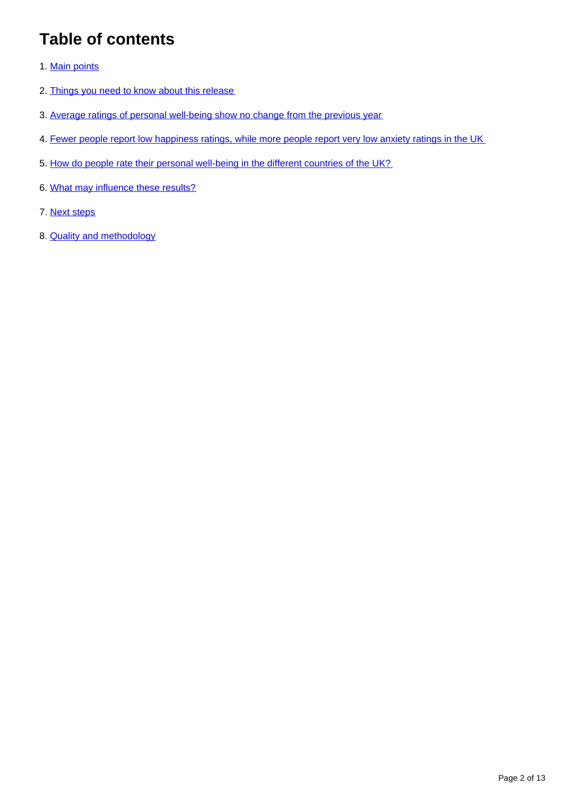## **Table of contents**

- 1. [Main points](#page-2-0)
- 2. [Things you need to know about this release](#page-2-1)
- 3. [Average ratings of personal well-being show no change from the previous year](#page-3-0)
- 4. [Fewer people report low happiness ratings, while more people report very low anxiety ratings in the UK](#page-5-0)
- 5. [How do people rate their personal well-being in the different countries of the UK?](#page-7-0)
- 6. [What may influence these results?](#page-9-0)
- 7. [Next steps](#page-10-0)
- 8. [Quality and methodology](#page-11-0)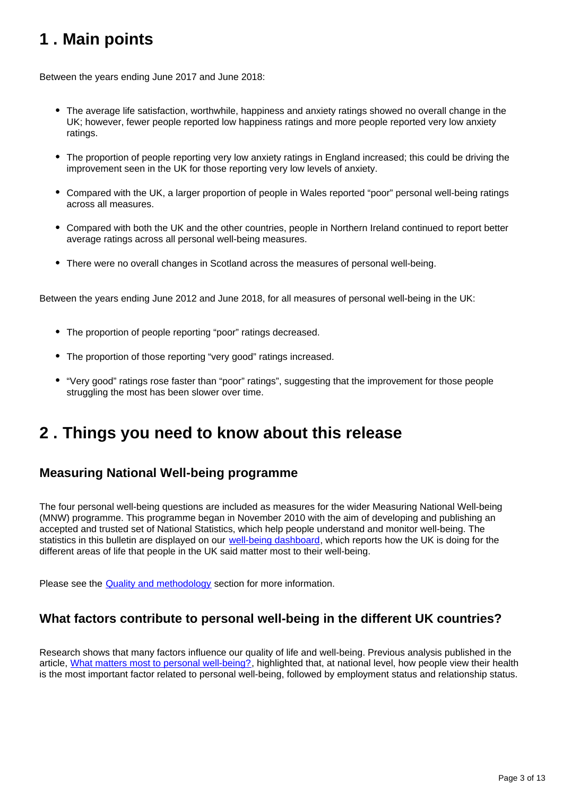## <span id="page-2-0"></span>**1 . Main points**

Between the years ending June 2017 and June 2018:

- The average life satisfaction, worthwhile, happiness and anxiety ratings showed no overall change in the UK; however, fewer people reported low happiness ratings and more people reported very low anxiety ratings.
- The proportion of people reporting very low anxiety ratings in England increased; this could be driving the improvement seen in the UK for those reporting very low levels of anxiety.
- Compared with the UK, a larger proportion of people in Wales reported "poor" personal well-being ratings across all measures.
- Compared with both the UK and the other countries, people in Northern Ireland continued to report better average ratings across all personal well-being measures.
- There were no overall changes in Scotland across the measures of personal well-being.

Between the years ending June 2012 and June 2018, for all measures of personal well-being in the UK:

- The proportion of people reporting "poor" ratings decreased.
- The proportion of those reporting "very good" ratings increased.
- "Very good" ratings rose faster than "poor" ratings", suggesting that the improvement for those people struggling the most has been slower over time.

### <span id="page-2-1"></span>**2 . Things you need to know about this release**

### **Measuring National Well-being programme**

The four personal well-being questions are included as measures for the wider Measuring National Well-being (MNW) programme. This programme began in November 2010 with the aim of developing and publishing an accepted and trusted set of National Statistics, which help people understand and monitor well-being. The statistics in this bulletin are displayed on our [well-being dashboard,](https://www.ons.gov.uk/peoplepopulationandcommunity/wellbeing/articles/measuresofnationalwellbeingdashboard/2018-09-26) which reports how the UK is doing for the different areas of life that people in the UK said matter most to their well-being.

Please see the **Quality and methodology** section for more information.

### **What factors contribute to personal well-being in the different UK countries?**

Research shows that many factors influence our quality of life and well-being. Previous analysis published in the article, [What matters most to personal well-being?](http://webarchive.nationalarchives.gov.uk/20160107113217/http:/www.ons.gov.uk/ons/rel/wellbeing/measuring-national-well-being/what-matters-most-to-personal-well-being-in-the-uk-/sty-personal-well-being.html), highlighted that, at national level, how people view their health is the most important factor related to personal well-being, followed by employment status and relationship status.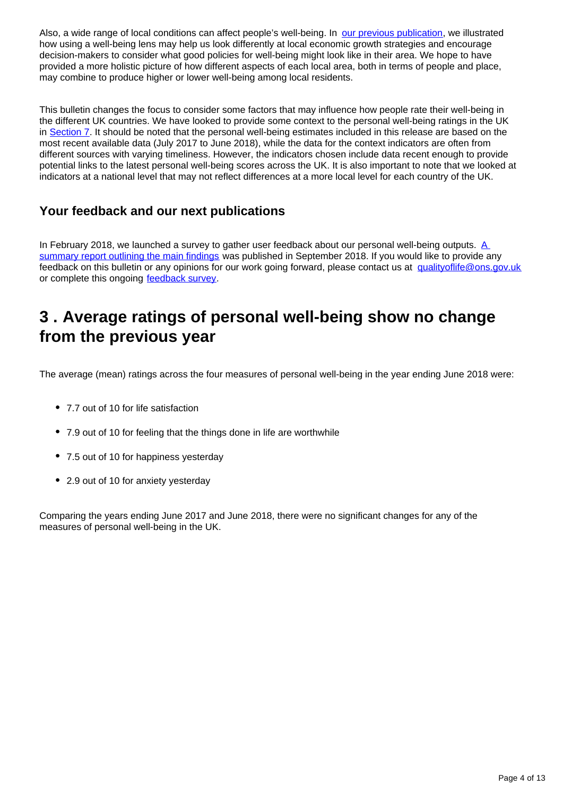Also, a wide range of local conditions can affect people's well-being. In [our previous publication](https://www.ons.gov.uk/peoplepopulationandcommunity/wellbeing/bulletins/measuringnationalwellbeing/april2017tomarch2018), we illustrated how using a well-being lens may help us look differently at local economic growth strategies and encourage decision-makers to consider what good policies for well-being might look like in their area. We hope to have provided a more holistic picture of how different aspects of each local area, both in terms of people and place, may combine to produce higher or lower well-being among local residents.

This bulletin changes the focus to consider some factors that may influence how people rate their well-being in the different UK countries. We have looked to provide some context to the personal well-being ratings in the UK in [Section 7.](https://www.ons.gov.uk/peoplepopulationandcommunity/wellbeing/bulletins/measuringnationalwellbeing/july2017tojune2018#what-may-influence-these-results) It should be noted that the personal well-being estimates included in this release are based on the most recent available data (July 2017 to June 2018), while the data for the context indicators are often from different sources with varying timeliness. However, the indicators chosen include data recent enough to provide potential links to the latest personal well-being scores across the UK. It is also important to note that we looked at indicators at a national level that may not reflect differences at a more local level for each country of the UK.

### **Your feedback and our next publications**

In February 2018, we launched a survey to gather user feedback about our personal well-being outputs.  $\overline{A}$ [summary report outlining the main findings](https://www.ons.gov.uk/peoplepopulationandcommunity/wellbeing/methodologies/personalwellbeingoutputssummaryofuserfeedback) was published in September 2018. If you would like to provide any feedback on this bulletin or any opinions for our work going forward, please contact us at qualityoflife@ons.gov.uk or complete this ongoing [feedback survey.](https://www.surveymonkey.co.uk/r/Q5PMJWV)

## <span id="page-3-0"></span>**3 . Average ratings of personal well-being show no change from the previous year**

The average (mean) ratings across the four measures of personal well-being in the year ending June 2018 were:

- 7.7 out of 10 for life satisfaction
- 7.9 out of 10 for feeling that the things done in life are worthwhile
- 7.5 out of 10 for happiness yesterday
- 2.9 out of 10 for anxiety yesterday

Comparing the years ending June 2017 and June 2018, there were no significant changes for any of the measures of personal well-being in the UK.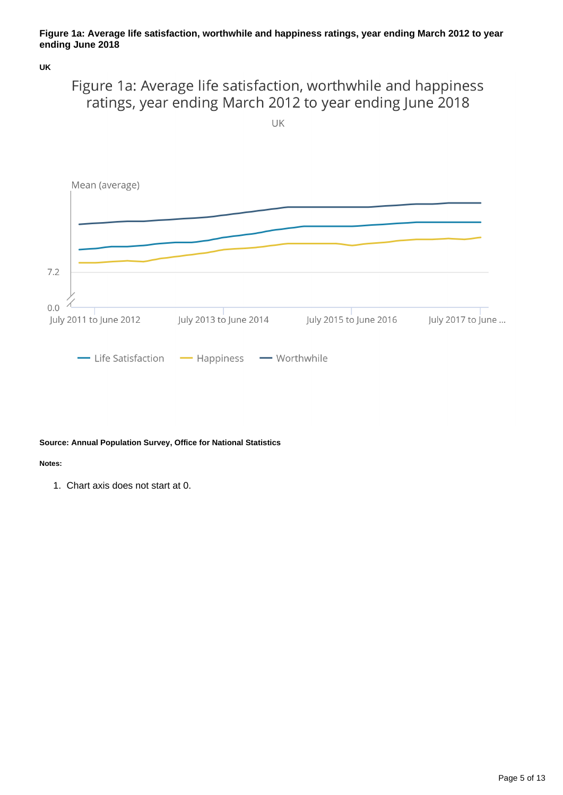#### **Figure 1a: Average life satisfaction, worthwhile and happiness ratings, year ending March 2012 to year ending June 2018**

**UK**

### Figure 1a: Average life satisfaction, worthwhile and happiness ratings, year ending March 2012 to year ending June 2018

UK



#### **Source: Annual Population Survey, Office for National Statistics**

**Notes:**

1. Chart axis does not start at 0.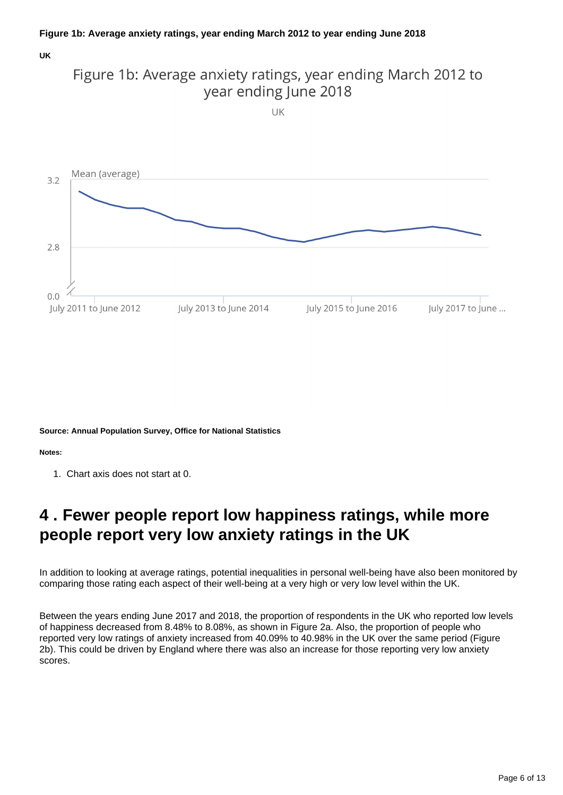#### **UK**



**Source: Annual Population Survey, Office for National Statistics**

**Notes:**

1. Chart axis does not start at 0.

## <span id="page-5-0"></span>**4 . Fewer people report low happiness ratings, while more people report very low anxiety ratings in the UK**

In addition to looking at average ratings, potential inequalities in personal well-being have also been monitored by comparing those rating each aspect of their well-being at a very high or very low level within the UK.

Between the years ending June 2017 and 2018, the proportion of respondents in the UK who reported low levels of happiness decreased from 8.48% to 8.08%, as shown in Figure 2a. Also, the proportion of people who reported very low ratings of anxiety increased from 40.09% to 40.98% in the UK over the same period (Figure 2b). This could be driven by England where there was also an increase for those reporting very low anxiety scores.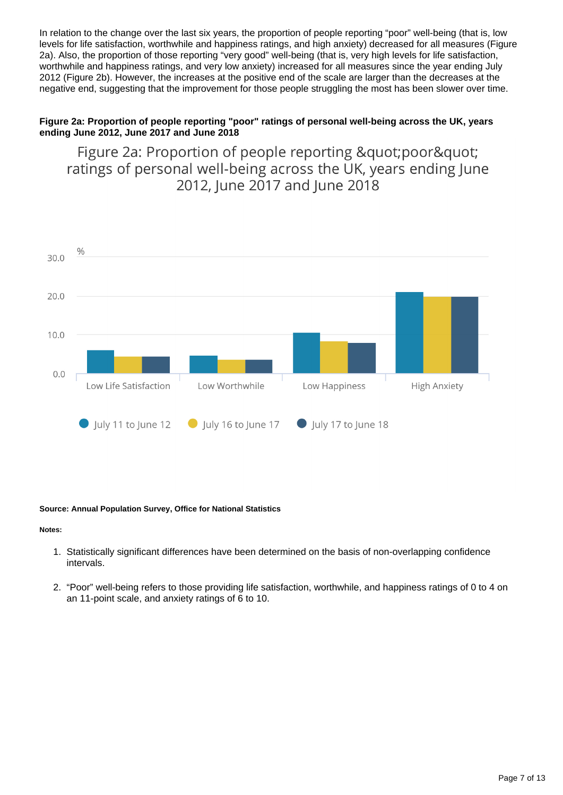In relation to the change over the last six years, the proportion of people reporting "poor" well-being (that is, low levels for life satisfaction, worthwhile and happiness ratings, and high anxiety) decreased for all measures (Figure 2a). Also, the proportion of those reporting "very good" well-being (that is, very high levels for life satisfaction, worthwhile and happiness ratings, and very low anxiety) increased for all measures since the year ending July 2012 (Figure 2b). However, the increases at the positive end of the scale are larger than the decreases at the negative end, suggesting that the improvement for those people struggling the most has been slower over time.

#### **Figure 2a: Proportion of people reporting "poor" ratings of personal well-being across the UK, years ending June 2012, June 2017 and June 2018**

Figure 2a: Proportion of people reporting & quot; poor & quot; ratings of personal well-being across the UK, years ending June 2012, June 2017 and June 2018



#### **Source: Annual Population Survey, Office for National Statistics**

#### **Notes:**

- 1. Statistically significant differences have been determined on the basis of non-overlapping confidence intervals.
- 2. "Poor" well-being refers to those providing life satisfaction, worthwhile, and happiness ratings of 0 to 4 on an 11-point scale, and anxiety ratings of 6 to 10.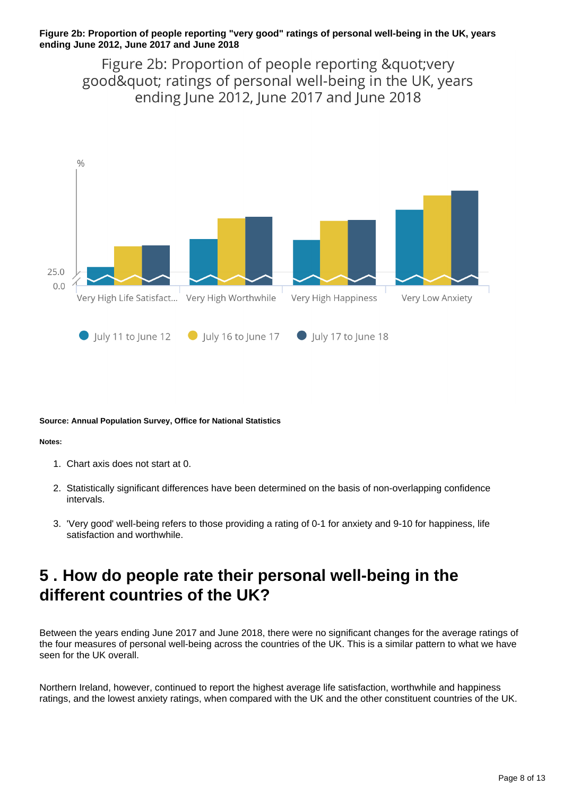#### **Figure 2b: Proportion of people reporting "very good" ratings of personal well-being in the UK, years ending June 2012, June 2017 and June 2018**

Figure 2b: Proportion of people reporting & quot; very good" ratings of personal well-being in the UK, years ending June 2012, June 2017 and June 2018



#### **Source: Annual Population Survey, Office for National Statistics**

#### **Notes:**

- 1. Chart axis does not start at 0.
- 2. Statistically significant differences have been determined on the basis of non-overlapping confidence intervals.
- 3. 'Very good' well-being refers to those providing a rating of 0-1 for anxiety and 9-10 for happiness, life satisfaction and worthwhile.

### <span id="page-7-0"></span>**5 . How do people rate their personal well-being in the different countries of the UK?**

Between the years ending June 2017 and June 2018, there were no significant changes for the average ratings of the four measures of personal well-being across the countries of the UK. This is a similar pattern to what we have seen for the UK overall.

Northern Ireland, however, continued to report the highest average life satisfaction, worthwhile and happiness ratings, and the lowest anxiety ratings, when compared with the UK and the other constituent countries of the UK.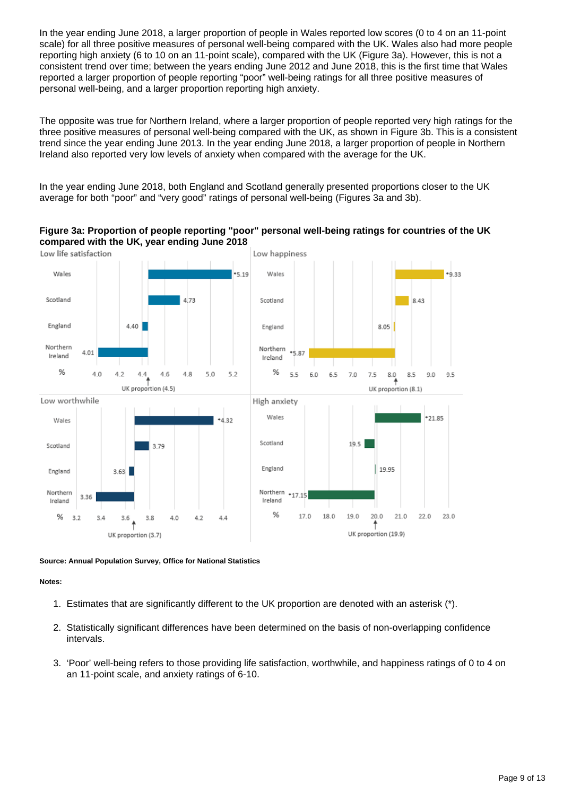In the year ending June 2018, a larger proportion of people in Wales reported low scores (0 to 4 on an 11-point scale) for all three positive measures of personal well-being compared with the UK. Wales also had more people reporting high anxiety (6 to 10 on an 11-point scale), compared with the UK (Figure 3a). However, this is not a consistent trend over time; between the years ending June 2012 and June 2018, this is the first time that Wales reported a larger proportion of people reporting "poor" well-being ratings for all three positive measures of personal well-being, and a larger proportion reporting high anxiety.

The opposite was true for Northern Ireland, where a larger proportion of people reported very high ratings for the three positive measures of personal well-being compared with the UK, as shown in Figure 3b. This is a consistent trend since the year ending June 2013. In the year ending June 2018, a larger proportion of people in Northern Ireland also reported very low levels of anxiety when compared with the average for the UK.

In the year ending June 2018, both England and Scotland generally presented proportions closer to the UK average for both "poor" and "very good" ratings of personal well-being (Figures 3a and 3b).





**Source: Annual Population Survey, Office for National Statistics**

#### **Notes:**

- 1. Estimates that are significantly different to the UK proportion are denoted with an asterisk (\*).
- 2. Statistically significant differences have been determined on the basis of non-overlapping confidence intervals.
- 3. 'Poor' well-being refers to those providing life satisfaction, worthwhile, and happiness ratings of 0 to 4 on an 11-point scale, and anxiety ratings of 6-10.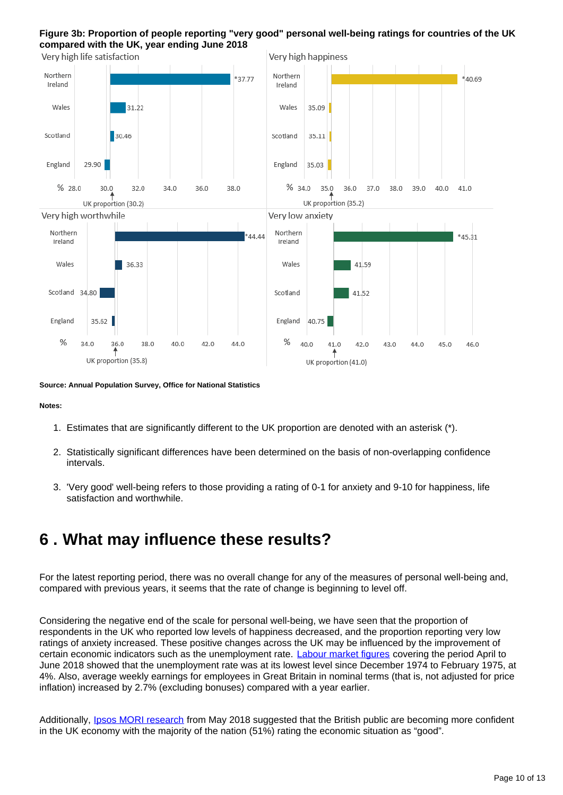#### **Figure 3b: Proportion of people reporting "very good" personal well-being ratings for countries of the UK compared with the UK, year ending June 2018**



**Source: Annual Population Survey, Office for National Statistics**

#### **Notes:**

- 1. Estimates that are significantly different to the UK proportion are denoted with an asterisk (\*).
- 2. Statistically significant differences have been determined on the basis of non-overlapping confidence intervals.
- 3. 'Very good' well-being refers to those providing a rating of 0-1 for anxiety and 9-10 for happiness, life satisfaction and worthwhile.

### <span id="page-9-0"></span>**6 . What may influence these results?**

For the latest reporting period, there was no overall change for any of the measures of personal well-being and, compared with previous years, it seems that the rate of change is beginning to level off.

Considering the negative end of the scale for personal well-being, we have seen that the proportion of respondents in the UK who reported low levels of happiness decreased, and the proportion reporting very low ratings of anxiety increased. These positive changes across the UK may be influenced by the improvement of certain economic indicators such as the unemployment rate. [Labour market figures](https://www.ons.gov.uk/employmentandlabourmarket/peopleinwork/employmentandemployeetypes/bulletins/uklabourmarket/august2018) covering the period April to June 2018 showed that the unemployment rate was at its lowest level since December 1974 to February 1975, at 4%. Also, average weekly earnings for employees in Great Britain in nominal terms (that is, not adjusted for price inflation) increased by 2.7% (excluding bonuses) compared with a year earlier.

Additionally, [Ipsos MORI research](https://www.ipsos.com/ipsos-mori/en-uk/british-are-becoming-more-positive-about-uks-economy) from May 2018 suggested that the British public are becoming more confident in the UK economy with the majority of the nation (51%) rating the economic situation as "good".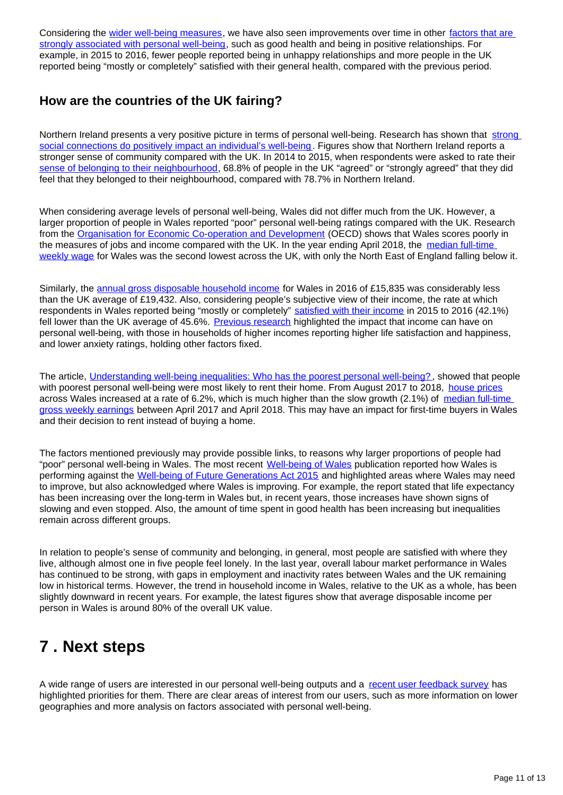Considering the [wider well-being measures](https://www.ons.gov.uk/peoplepopulationandcommunity/wellbeing/articles/measuresofnationalwellbeingdashboard/2018-09-26), we have also seen improvements over time in other factors that are [strongly associated with personal well-being](http://webarchive.nationalarchives.gov.uk/20160107113217/http:/www.ons.gov.uk/ons/rel/wellbeing/measuring-national-well-being/what-matters-most-to-personal-well-being-in-the-uk-/sty-personal-well-being.html), such as good health and being in positive relationships. For example, in 2015 to 2016, fewer people reported being in unhappy relationships and more people in the UK reported being "mostly or completely" satisfied with their general health, compared with the previous period.

### **How are the countries of the UK fairing?**

Northern Ireland presents a very positive picture in terms of personal well-being. Research has shown that strong [social connections do positively impact an individual's well-being](https://www.ncbi.nlm.nih.gov/pmc/articles/PMC1693420/). Figures show that Northern Ireland reports a stronger sense of community compared with the UK. In 2014 to 2015, when respondents were asked to rate their [sense of belonging to their neighbourhood,](https://www.ons.gov.uk/peoplepopulationandcommunity/wellbeing/articles/measuresofnationalwellbeingdashboard/2018-09-26) 68.8% of people in the UK "agreed" or "strongly agreed" that they did feel that they belonged to their neighbourhood, compared with 78.7% in Northern Ireland.

When considering average levels of personal well-being, Wales did not differ much from the UK. However, a larger proportion of people in Wales reported "poor" personal well-being ratings compared with the UK. Research from the [Organisation for Economic Co-operation and Development](https://www.oecdregionalwellbeing.org/UKL.html) (OECD) shows that Wales scores poorly in the measures of jobs and income compared with the UK. In the year ending April 2018, the [median full-time](https://www.ons.gov.uk/employmentandlabourmarket/peopleinwork/earningsandworkinghours/bulletins/annualsurveyofhoursandearnings/2018)  [weekly wage](https://www.ons.gov.uk/employmentandlabourmarket/peopleinwork/earningsandworkinghours/bulletins/annualsurveyofhoursandearnings/2018) for Wales was the second lowest across the UK, with only the North East of England falling below it.

Similarly, the [annual gross disposable household income](https://www.ons.gov.uk/economy/regionalaccounts/grossdisposablehouseholdincome/bulletins/regionalgrossdisposablehouseholdincomegdhi/1997to2016) for Wales in 2016 of £15,835 was considerably less than the UK average of £19,432. Also, considering people's subjective view of their income, the rate at which respondents in Wales reported being "mostly or completely" [satisfied with their income](https://www.ons.gov.uk/peoplepopulationandcommunity/wellbeing/articles/measuresofnationalwellbeingdashboard/2018-09-26) in 2015 to 2016 (42.1%) fell lower than the UK average of 45.6%. [Previous research](https://webarchive.nationalarchives.gov.uk/20150905095913/http:/www.ons.gov.uk/ons/rel/wellbeing/measuring-national-well-being/income--expenditure-and-personal-well-being/art--income--expenditure-and-personal-well-being.html) highlighted the impact that income can have on personal well-being, with those in households of higher incomes reporting higher life satisfaction and happiness, and lower anxiety ratings, holding other factors fixed.

The article, [Understanding well-being inequalities: Who has the poorest personal well-being?](https://www.ons.gov.uk/peoplepopulationandcommunity/wellbeing/articles/understandingwellbeinginequalitieswhohasthepoorestpersonalwellbeing/2018-07-11), showed that people with poorest personal well-being were most likely to rent their home. From August 2017 to 2018, [house prices](https://www.ons.gov.uk/economy/inflationandpriceindices/bulletins/housepriceindex/august2018#house-price-growth-in-england-slows-but-stronger-growth-in-other-countries) across Wales increased at a rate of 6.2%, which is much higher than the slow growth (2.1%) of [median full-time](https://www.ons.gov.uk/employmentandlabourmarket/peopleinwork/earningsandworkinghours/bulletins/annualsurveyofhoursandearnings/2018)  [gross weekly earnings](https://www.ons.gov.uk/employmentandlabourmarket/peopleinwork/earningsandworkinghours/bulletins/annualsurveyofhoursandearnings/2018) between April 2017 and April 2018. This may have an impact for first-time buyers in Wales and their decision to rent instead of buying a home.

The factors mentioned previously may provide possible links, to reasons why larger proportions of people had "poor" personal well-being in Wales. The most recent [Well-being of Wales](https://gov.wales/statistics-and-research/well-being-wales/?tab=data%E2%8C%A9&skip=1&lang=en) publication reported how Wales is performing against the [Well-being of Future Generations Act 2015](https://gov.wales/topics/people-and-communities/people/future-generations-act/?lang=en) and highlighted areas where Wales may need to improve, but also acknowledged where Wales is improving. For example, the report stated that life expectancy has been increasing over the long-term in Wales but, in recent years, those increases have shown signs of slowing and even stopped. Also, the amount of time spent in good health has been increasing but inequalities remain across different groups.

In relation to people's sense of community and belonging, in general, most people are satisfied with where they live, although almost one in five people feel lonely. In the last year, overall labour market performance in Wales has continued to be strong, with gaps in employment and inactivity rates between Wales and the UK remaining low in historical terms. However, the trend in household income in Wales, relative to the UK as a whole, has been slightly downward in recent years. For example, the latest figures show that average disposable income per person in Wales is around 80% of the overall UK value.

## <span id="page-10-0"></span>**7 . Next steps**

A wide range of users are interested in our personal well-being outputs and a [recent user feedback survey](https://www.ons.gov.uk/peoplepopulationandcommunity/wellbeing/methodologies/personalwellbeingoutputssummaryofuserfeedback) has highlighted priorities for them. There are clear areas of interest from our users, such as more information on lower geographies and more analysis on factors associated with personal well-being.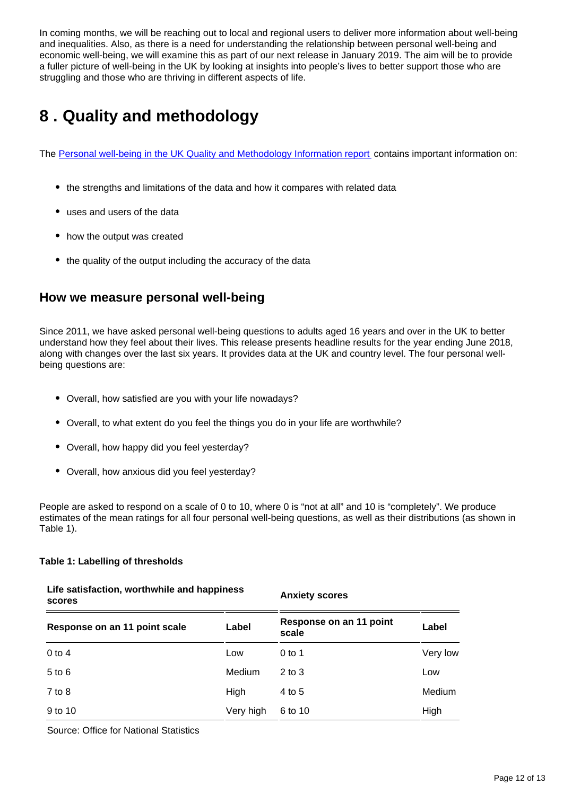In coming months, we will be reaching out to local and regional users to deliver more information about well-being and inequalities. Also, as there is a need for understanding the relationship between personal well-being and economic well-being, we will examine this as part of our next release in January 2019. The aim will be to provide a fuller picture of well-being in the UK by looking at insights into people's lives to better support those who are struggling and those who are thriving in different aspects of life.

## <span id="page-11-0"></span>**8 . Quality and methodology**

The [Personal well-being in the UK Quality and Methodology Information report](https://www.ons.gov.uk/peoplepopulationandcommunity/wellbeing/methodologies/personalwellbeingintheukqmi) contains important information on:

- the strengths and limitations of the data and how it compares with related data
- uses and users of the data
- how the output was created
- the quality of the output including the accuracy of the data

### **How we measure personal well-being**

Since 2011, we have asked personal well-being questions to adults aged 16 years and over in the UK to better understand how they feel about their lives. This release presents headline results for the year ending June 2018, along with changes over the last six years. It provides data at the UK and country level. The four personal wellbeing questions are:

- Overall, how satisfied are you with your life nowadays?
- Overall, to what extent do you feel the things you do in your life are worthwhile?
- Overall, how happy did you feel yesterday?
- Overall, how anxious did you feel yesterday?

People are asked to respond on a scale of 0 to 10, where 0 is "not at all" and 10 is "completely". We produce estimates of the mean ratings for all four personal well-being questions, as well as their distributions (as shown in Table 1).

#### **Table 1: Labelling of thresholds**

| Life satisfaction, worthwhile and happiness<br>scores |               | <b>Anxiety scores</b>            |          |
|-------------------------------------------------------|---------------|----------------------------------|----------|
| Response on an 11 point scale                         | Label         | Response on an 11 point<br>scale | Label    |
| $0$ to 4                                              | Low           | $0$ to 1                         | Very low |
| $5$ to $6$                                            | <b>Medium</b> | $2$ to $3$                       | Low      |
| $7$ to $8$                                            | High          | 4 to 5                           | Medium   |
| 9 to 10                                               | Very high     | 6 to 10                          | High     |

Source: Office for National Statistics